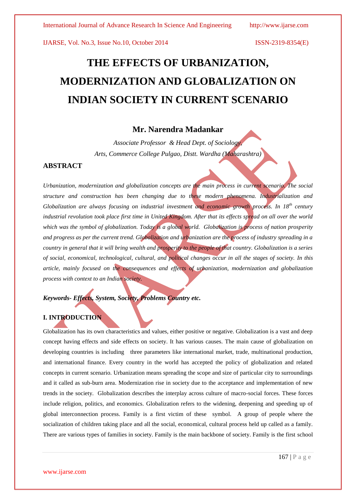# **THE EFFECTS OF URBANIZATION, MODERNIZATION AND GLOBALIZATION ON INDIAN SOCIETY IN CURRENT SCENARIO**

## **Mr. Narendra Madankar**

*Associate Professor & Head Dept. of Sociology, Arts, Commerce College Pulgao, Distt. Wardha (Maharashtra)*

#### **ABSTRACT**

*Urbanization, modernization and globalization concepts are the main process in current scenario. The social structure and construction has been changing due to these modern phenomena. Industrialization and Globalization are always focusing on industrial investment and economic growth process. In 18th century industrial revolution took place first time in United Kingdom. After that its effects spread on all over the world which was the symbol of globalization. Today is a global world. Globalization is process of nation prosperity and progress as per the current trend. Globalization and urbanization are the process of industry spreading in a country in general that it will bring wealth and prosperity to the people of that country. Globalization is a series of social, economical, technological, cultural, and political changes occur in all the stages of society. In this article, mainly focused on the consequences and effects of urbanization, modernization and globalization process with context to an Indian society.* 

# *Keywords- Effects, System, Society, Problems Country etc.*

### **I. INTRODUCTION**

Globalization has its own characteristics and values, either positive or negative. Globalization is a vast and deep concept having effects and side effects on society. It has various causes. The main cause of globalization on developing countries is including three parameters like international market, trade, multinational production, and international finance. Every country in the world has accepted the policy of globalization and related concepts in current scenario. Urbanization means spreading the scope and size of particular city to surroundings and it called as sub-burn area. Modernization rise in society due to the acceptance and implementation of new trends in the society. Globalization describes the interplay across culture of macro-social forces. These forces include religion, politics, and economics. Globalization refers to the widening, deepening and speeding up of global interconnection process. Family is a first victim of these symbol. A group of people where the socialization of children taking place and all the social, economical, cultural process held up called as a family. There are various types of families in society. Family is the main backbone of society. Family is the first school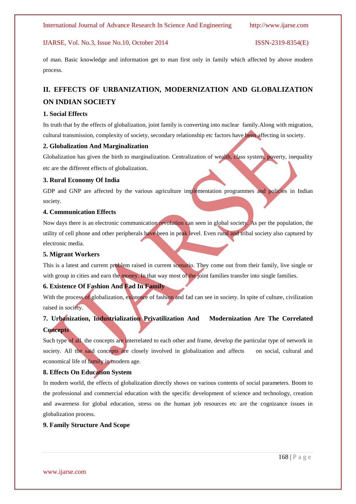of man. Basic knowledge and information get to man first only in family which affected by above modern process.

# **II. EFFECTS OF URBANIZATION, MODERNIZATION AND GLOBALIZATION ON INDIAN SOCIETY**

#### **1. Social Effects**

Its truth that by the effects of globalization, joint family is converting into nuclear family.Along with migration, cultural transmission, complexity of society, secondary relationship etc factors have been affecting in society.

#### **2. Globalization And Marginalization**

Globalization has given the birth to marginalization. Centralization of wealth, class system, poverty, inequality etc are the different effects of globalization.

#### **3. Rural Economy Of India**

GDP and GNP are affected by the various agriculture implementation programmes and policies in Indian society.

#### **4. Communication Effects**

Now days there is an electronic communication revolution can seen in global society. As per the population, the utility of cell phone and other peripherals have been in peak level. Even rural and tribal society also captured by electronic media.

#### **5. Migrant Workers**

This is a latest and current problem raised in current scenario. They come out from their family, live single or with group in cities and earn the money. In that way most of the joint families transfer into single families.

#### **6. Existence Of Fashion And Fad In Family**

With the process of globalization, existence of fashion and fad can see in society. In spite of culture, civilization raised in society.

# **7. Urbanization, Industrialization Privatilization And Modernization Are The Correlated Concepts**

Such type of all the concepts are interrelated to each other and frame, develop the particular type of network in society. All the said concepts are closely involved in globalization and affects on social, cultural and economical life of family in modern age.

#### **8. Effects On Education System**

In modern world, the effects of globalization directly shows on various contents of social parameters. Boom to the professional and commercial education with the specific development of science and technology, creation and awareness for global education, stress on the human job resources etc are the cognizance issues in globalization process.

#### **9. Family Structure And Scope**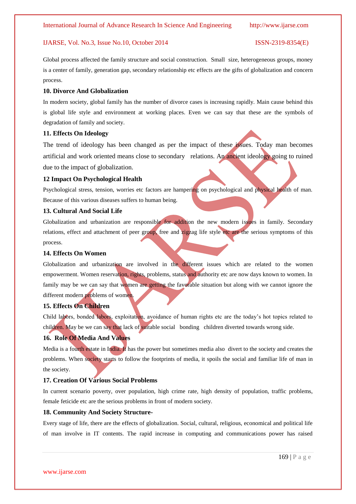Global process affected the family structure and social construction. Small size, heterogeneous groups, money is a center of family, generation gap, secondary relationship etc effects are the gifts of globalization and concern process.

#### **10. Divorce And Globalization**

In modern society, global family has the number of divorce cases is increasing rapidly. Main cause behind this is global life style and environment at working places. Even we can say that these are the symbols of degradation of family and society.

#### **11. Effects On Ideology**

The trend of ideology has been changed as per the impact of these issues. Today man becomes artificial and work oriented means close to secondary relations. An ancient ideology going to ruined due to the impact of globalization.

#### **12 Impact On Psychological Health**

Psychological stress, tension, worries etc factors are hampering on psychological and physical health of man. Because of this various diseases suffers to human being.

#### **13. Cultural And Social Life**

Globalization and urbanization are responsible for addition the new modern issues in family. Secondary relations, effect and attachment of peer group, free and zigzag life style etc are the serious symptoms of this process.

#### **14. Effects On Women**

Globalization and urbanization are involved in the different issues which are related to the women empowerment. Women reservation, rights, problems, status and authority etc are now days known to women. In family may be we can say that women are getting the favorable situation but along with we cannot ignore the different modern problems of women.

#### **15. Effects On Children**

Child labors, bonded labors, exploitation, avoidance of human rights etc are the today's hot topics related to children. May be we can say that lack of suitable social bonding children diverted towards wrong side.

#### **16. Role Of Media And Values**

Media is a fourth estate in India. It has the power but sometimes media also divert to the society and creates the problems. When society starts to follow the footprints of media, it spoils the social and familiar life of man in the society.

#### **17. Creation Of Various Social Problems**

In current scenario poverty, over population, high crime rate, high density of population, traffic problems, female feticide etc are the serious problems in front of modern society.

#### **18. Community And Society Structure-**

Every stage of life, there are the effects of globalization. Social, cultural, religious, economical and political life of man involve in IT contents. The rapid increase in computing and communications power has raised